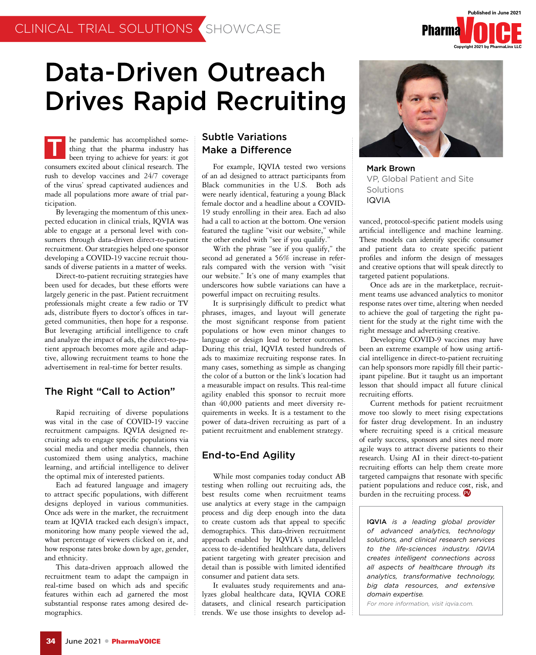

# Data-Driven Outreach Drives Rapid Recruiting

he pandemic has accomplished something that the pharma industry has been trying to achieve for years: it got consumers excited about clinical research. The rush to develop vaccines and 24/7 coverage of the virus' spread captivated audiences and made all populations more aware of trial participation. T

By leveraging the momentum of this unexpected education in clinical trials, IQVIA was able to engage at a personal level with consumers through data-driven direct-to-patient recruitment. Our strategies helped one sponsor developing a COVID-19 vaccine recruit thousands of diverse patients in a matter of weeks.

Direct-to-patient recruiting strategies have been used for decades, but these efforts were largely generic in the past. Patient recruitment professionals might create a few radio or TV ads, distribute flyers to doctor's offices in targeted communities, then hope for a response. But leveraging artificial intelligence to craft and analyze the impact of ads, the direct-to-patient approach becomes more agile and adaptive, allowing recruitment teams to hone the advertisement in real-time for better results.

## The Right "Call to Action"

Rapid recruiting of diverse populations was vital in the case of COVID-19 vaccine recruitment campaigns. IQVIA designed recruiting ads to engage specific populations via social media and other media channels, then customized them using analytics, machine learning, and artificial intelligence to deliver the optimal mix of interested patients.

Each ad featured language and imagery to attract specific populations, with different designs deployed in various communities. Once ads were in the market, the recruitment team at IQVIA tracked each design's impact, monitoring how many people viewed the ad, what percentage of viewers clicked on it, and how response rates broke down by age, gender, and ethnicity.

This data-driven approach allowed the recruitment team to adapt the campaign in real-time based on which ads and specific features within each ad garnered the most substantial response rates among desired demographics.

## Subtle Variations Make a Difference

For example, IQVIA tested two versions of an ad designed to attract participants from Black communities in the U.S. Both ads were nearly identical, featuring a young Black female doctor and a headline about a COVID-19 study enrolling in their area. Each ad also had a call to action at the bottom. One version featured the tagline "visit our website," while the other ended with "see if you qualify."

With the phrase "see if you qualify," the second ad generated a 56% increase in referrals compared with the version with "visit our website." It's one of many examples that underscores how subtle variations can have a powerful impact on recruiting results.

It is surprisingly difficult to predict what phrases, images, and layout will generate the most significant response from patient populations or how even minor changes to language or design lead to better outcomes. During this trial, IQVIA tested hundreds of ads to maximize recruiting response rates. In many cases, something as simple as changing the color of a button or the link's location had a measurable impact on results. This real-time agility enabled this sponsor to recruit more than 40,000 patients and meet diversity requirements in weeks. It is a testament to the power of data-driven recruiting as part of a patient recruitment and enablement strategy.

## End-to-End Agility

While most companies today conduct AB testing when rolling out recruiting ads, the best results come when recruitment teams use analytics at every stage in the campaign process and dig deep enough into the data to create custom ads that appeal to specific demographics. This data-driven recruitment approach enabled by IQVIA's unparalleled access to de-identified healthcare data, delivers patient targeting with greater precision and detail than is possible with limited identified consumer and patient data sets.

It evaluates study requirements and analyzes global healthcare data, IQVIA CORE datasets, and clinical research participation trends. We use those insights to develop ad-



Mark Brown VP, Global Patient and Site Solutions IQVIA

vanced, protocol-specific patient models using artificial intelligence and machine learning. These models can identify specific consumer and patient data to create specific patient profiles and inform the design of messages and creative options that will speak directly to targeted patient populations.

Once ads are in the marketplace, recruitment teams use advanced analytics to monitor response rates over time, altering when needed to achieve the goal of targeting the right patient for the study at the right time with the right message and advertising creative.

Developing COVID-9 vaccines may have been an extreme example of how using artificial intelligence in direct-to-patient recruiting can help sponsors more rapidly fill their participant pipeline. But it taught us an important lesson that should impact all future clinical recruiting efforts.

Current methods for patient recruitment move too slowly to meet rising expectations for faster drug development. In an industry where recruiting speed is a critical measure of early success, sponsors and sites need more agile ways to attract diverse patients to their research. Using AI in their direct-to-patient recruiting efforts can help them create more targeted campaigns that resonate with specific patient populations and reduce cost, risk, and burden in the recruiting process.

IQVIA *is a leading global provider of advanced analytics, technology solutions, and clinical research services to the life-sciences industry. IQVIA creates intelligent connections across all aspects of healthcare through its analytics, transformative technology, big data resources, and extensive domain expertise.* 

*For more information, visit iqvia.com.*